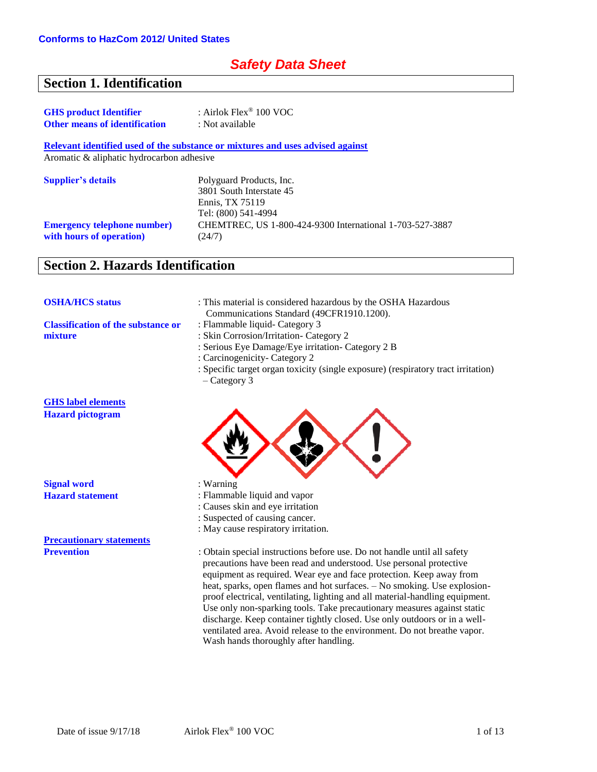# *Safety Data Sheet*

# **Section 1. Identification**

| <b>GHS</b> product Identifier        | : Airlok $Flex^{\circledast}$ 100 VOC |  |
|--------------------------------------|---------------------------------------|--|
| <b>Other means of identification</b> | : Not available                       |  |

**Relevant identified used of the substance or mixtures and uses advised against**

Aromatic & aliphatic hydrocarbon adhesive

| <b>Supplier's details</b>                                       | Polyguard Products, Inc.<br>3801 South Interstate 45               |
|-----------------------------------------------------------------|--------------------------------------------------------------------|
|                                                                 | Ennis, TX 75119<br>Tel: (800) 541-4994                             |
| <b>Emergency telephone number</b> )<br>with hours of operation) | CHEMTREC, US 1-800-424-9300 International 1-703-527-3887<br>(24/7) |

# **Section 2. Hazards Identification**

| <b>OSHA/HCS status</b>                    | : This material is considered hazardous by the OSHA Hazardous<br>Communications Standard (49CFR1910.1200). |
|-------------------------------------------|------------------------------------------------------------------------------------------------------------|
| <b>Classification of the substance or</b> | : Flammable liquid- Category 3                                                                             |
| mixture                                   | : Skin Corrosion/Irritation- Category 2                                                                    |
|                                           | : Serious Eye Damage/Eye irritation- Category 2 B                                                          |
|                                           | : Carcinogenicity- Category 2                                                                              |
|                                           | : Specific target organ toxicity (single exposure) (respiratory tract irritation)<br>$-$ Category 3        |
| <b>GHS</b> label elements                 |                                                                                                            |
| <b>Hazard pictogram</b>                   |                                                                                                            |
|                                           |                                                                                                            |
| <b>Signal word</b>                        | $:$ Warning                                                                                                |
| <b>Hazard statement</b>                   | : Flammable liquid and vapor                                                                               |
|                                           | : Causes skin and eye irritation                                                                           |
|                                           | : Suspected of causing cancer.                                                                             |
|                                           | : May cause respiratory irritation.                                                                        |
| <b>Precautionary statements</b>           |                                                                                                            |

**Prevention** : Obtain special instructions before use. Do not handle until all safety precautions have been read and understood. Use personal protective equipment as required. Wear eye and face protection. Keep away from heat, sparks, open flames and hot surfaces. – No smoking. Use explosionproof electrical, ventilating, lighting and all material-handling equipment. Use only non-sparking tools. Take precautionary measures against static discharge. Keep container tightly closed. Use only outdoors or in a wellventilated area. Avoid release to the environment. Do not breathe vapor. Wash hands thoroughly after handling.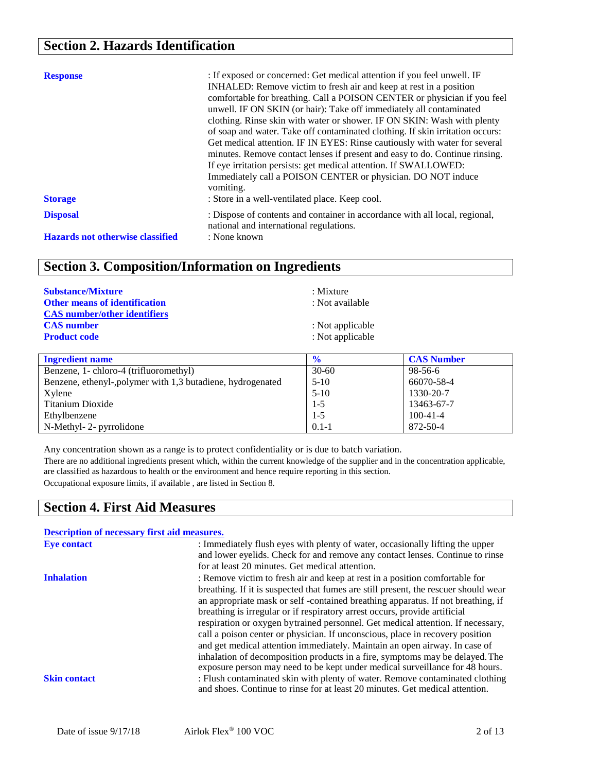# **Section 2. Hazards Identification**

| <b>Response</b><br><b>Storage</b>       | : If exposed or concerned: Get medical attention if you feel unwell. IF<br>INHALED: Remove victim to fresh air and keep at rest in a position<br>comfortable for breathing. Call a POISON CENTER or physician if you feel<br>unwell. IF ON SKIN (or hair): Take off immediately all contaminated<br>clothing. Rinse skin with water or shower. IF ON SKIN: Wash with plenty<br>of soap and water. Take off contaminated clothing. If skin irritation occurs:<br>Get medical attention. IF IN EYES: Rinse cautiously with water for several<br>minutes. Remove contact lenses if present and easy to do. Continue rinsing.<br>If eye irritation persists: get medical attention. If SWALLOWED:<br>Immediately call a POISON CENTER or physician. DO NOT induce<br>vomiting.<br>: Store in a well-ventilated place. Keep cool. |
|-----------------------------------------|------------------------------------------------------------------------------------------------------------------------------------------------------------------------------------------------------------------------------------------------------------------------------------------------------------------------------------------------------------------------------------------------------------------------------------------------------------------------------------------------------------------------------------------------------------------------------------------------------------------------------------------------------------------------------------------------------------------------------------------------------------------------------------------------------------------------------|
| <b>Disposal</b>                         | : Dispose of contents and container in accordance with all local, regional,<br>national and international regulations.                                                                                                                                                                                                                                                                                                                                                                                                                                                                                                                                                                                                                                                                                                       |
| <b>Hazards not otherwise classified</b> | : None known                                                                                                                                                                                                                                                                                                                                                                                                                                                                                                                                                                                                                                                                                                                                                                                                                 |

# **Section 3. Composition/Information on Ingredients**

| <b>Substance/Mixture</b>                                                    | : Mixture                  |  |
|-----------------------------------------------------------------------------|----------------------------|--|
| <b>Other means of identification</b><br><b>CAS</b> number/other identifiers | : Not available            |  |
| <b>CAS</b> number                                                           | : Not applicable           |  |
| <b>Product code</b>                                                         | : Not applicable           |  |
| Ingredient name                                                             | $\mathbf{0}_{\ell}$<br>S N |  |

| <b>Ingredient name</b>                                      | $\frac{0}{0}$ | <b>CAS Number</b> |
|-------------------------------------------------------------|---------------|-------------------|
| Benzene, 1- chloro-4 (trifluoromethyl)                      | $30 - 60$     | 98-56-6           |
| Benzene, ethenyl-, polymer with 1,3 butadiene, hydrogenated | $5-10$        | 66070-58-4        |
| Xylene                                                      | $5-10$        | 1330-20-7         |
| Titanium Dioxide                                            | $1 - 5$       | 13463-67-7        |
| Ethylbenzene                                                | $1 - 5$       | $100-41-4$        |
| N-Methyl- 2- pyrrolidone                                    | $0.1 - 1$     | 872-50-4          |

Any concentration shown as a range is to protect confidentiality or is due to batch variation.

There are no additional ingredients present which, within the current knowledge of the supplier and in the concentration applicable, are classified as hazardous to health or the environment and hence require reporting in this section.

Occupational exposure limits, if available , are listed in Section 8.

## **Section 4. First Aid Measures**

| <b>Description of necessary first aid measures.</b>                                 |  |  |
|-------------------------------------------------------------------------------------|--|--|
|                                                                                     |  |  |
| and lower eyelids. Check for and remove any contact lenses. Continue to rinse       |  |  |
|                                                                                     |  |  |
|                                                                                     |  |  |
| breathing. If it is suspected that fumes are still present, the rescuer should wear |  |  |
| an appropriate mask or self-contained breathing apparatus. If not breathing, if     |  |  |
|                                                                                     |  |  |
| respiration or oxygen bytrained personnel. Get medical attention. If necessary,     |  |  |
|                                                                                     |  |  |
|                                                                                     |  |  |
| inhalation of decomposition products in a fire, symptoms may be delayed. The        |  |  |
| exposure person may need to be kept under medical surveillance for 48 hours.        |  |  |
| : Flush contaminated skin with plenty of water. Remove contaminated clothing        |  |  |
|                                                                                     |  |  |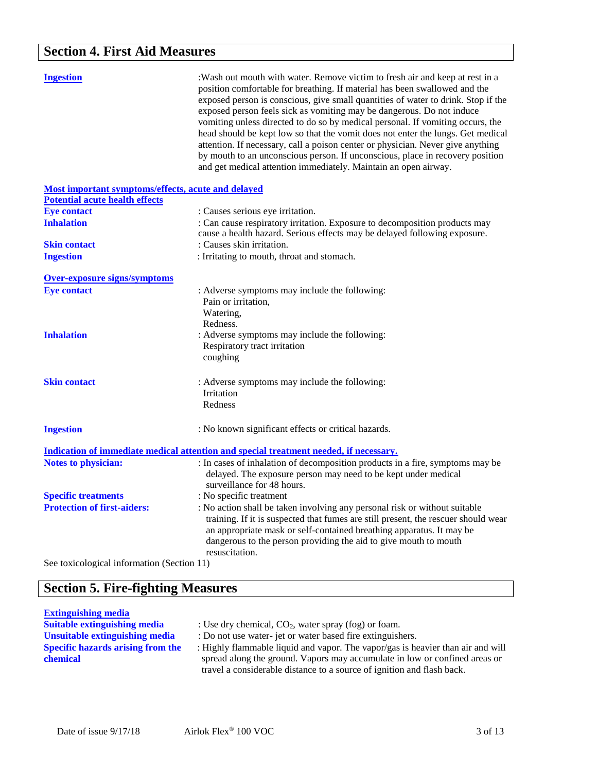# **Section 4. First Aid Measures**

| <b>Ingestion</b>                                          | :Wash out mouth with water. Remove victim to fresh air and keep at rest in a<br>position comfortable for breathing. If material has been swallowed and the<br>exposed person is conscious, give small quantities of water to drink. Stop if the<br>exposed person feels sick as vomiting may be dangerous. Do not induce<br>vomiting unless directed to do so by medical personal. If vomiting occurs, the<br>head should be kept low so that the vomit does not enter the lungs. Get medical<br>attention. If necessary, call a poison center or physician. Never give anything<br>by mouth to an unconscious person. If unconscious, place in recovery position<br>and get medical attention immediately. Maintain an open airway. |
|-----------------------------------------------------------|--------------------------------------------------------------------------------------------------------------------------------------------------------------------------------------------------------------------------------------------------------------------------------------------------------------------------------------------------------------------------------------------------------------------------------------------------------------------------------------------------------------------------------------------------------------------------------------------------------------------------------------------------------------------------------------------------------------------------------------|
| <b>Most important symptoms/effects, acute and delayed</b> |                                                                                                                                                                                                                                                                                                                                                                                                                                                                                                                                                                                                                                                                                                                                      |
| <b>Potential acute health effects</b>                     |                                                                                                                                                                                                                                                                                                                                                                                                                                                                                                                                                                                                                                                                                                                                      |
| <b>Eye contact</b>                                        | : Causes serious eye irritation.                                                                                                                                                                                                                                                                                                                                                                                                                                                                                                                                                                                                                                                                                                     |
| <b>Inhalation</b>                                         | : Can cause respiratory irritation. Exposure to decomposition products may<br>cause a health hazard. Serious effects may be delayed following exposure.                                                                                                                                                                                                                                                                                                                                                                                                                                                                                                                                                                              |
| <b>Skin contact</b>                                       | : Causes skin irritation.                                                                                                                                                                                                                                                                                                                                                                                                                                                                                                                                                                                                                                                                                                            |
| <b>Ingestion</b>                                          | : Irritating to mouth, throat and stomach.                                                                                                                                                                                                                                                                                                                                                                                                                                                                                                                                                                                                                                                                                           |
| <b>Over-exposure signs/symptoms</b>                       |                                                                                                                                                                                                                                                                                                                                                                                                                                                                                                                                                                                                                                                                                                                                      |
| <b>Eye contact</b>                                        | : Adverse symptoms may include the following:<br>Pain or irritation,<br>Watering,<br>Redness.                                                                                                                                                                                                                                                                                                                                                                                                                                                                                                                                                                                                                                        |
| <b>Inhalation</b>                                         | : Adverse symptoms may include the following:<br>Respiratory tract irritation<br>coughing                                                                                                                                                                                                                                                                                                                                                                                                                                                                                                                                                                                                                                            |
| <b>Skin contact</b>                                       | : Adverse symptoms may include the following:<br>Irritation<br>Redness                                                                                                                                                                                                                                                                                                                                                                                                                                                                                                                                                                                                                                                               |
| <b>Ingestion</b>                                          | : No known significant effects or critical hazards.                                                                                                                                                                                                                                                                                                                                                                                                                                                                                                                                                                                                                                                                                  |
|                                                           | Indication of immediate medical attention and special treatment needed, if necessary.                                                                                                                                                                                                                                                                                                                                                                                                                                                                                                                                                                                                                                                |
| <b>Notes to physician:</b>                                | : In cases of inhalation of decomposition products in a fire, symptoms may be<br>delayed. The exposure person may need to be kept under medical<br>surveillance for 48 hours.                                                                                                                                                                                                                                                                                                                                                                                                                                                                                                                                                        |
| <b>Specific treatments</b>                                | : No specific treatment                                                                                                                                                                                                                                                                                                                                                                                                                                                                                                                                                                                                                                                                                                              |
| <b>Protection of first-aiders:</b>                        | : No action shall be taken involving any personal risk or without suitable<br>training. If it is suspected that fumes are still present, the rescuer should wear<br>an appropriate mask or self-contained breathing apparatus. It may be<br>dangerous to the person providing the aid to give mouth to mouth<br>resuscitation.                                                                                                                                                                                                                                                                                                                                                                                                       |
| See toxicological information (Section 11)                |                                                                                                                                                                                                                                                                                                                                                                                                                                                                                                                                                                                                                                                                                                                                      |

# **Section 5. Fire-fighting Measures**

# **Extinguishing media**

: Use dry chemical, CO<sub>2</sub>, water spray (fog) or foam. **Unsuitable extinguishing media** : Do not use water- jet or water based fire extinguishers. **Specific hazards arising from the chemical** : Highly flammable liquid and vapor. The vapor/gas is heavier than air and will spread along the ground. Vapors may accumulate in low or confined areas or travel a considerable distance to a source of ignition and flash back.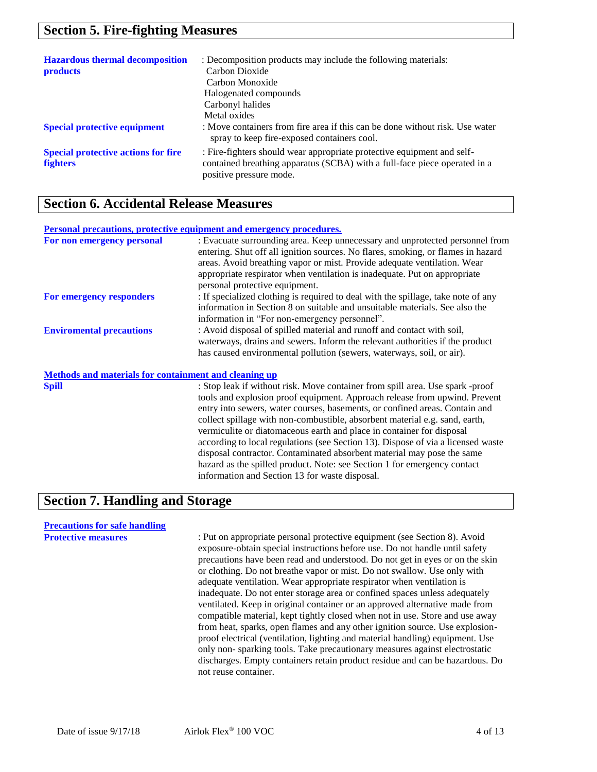## **Section 5. Fire-fighting Measures**

| <b>Hazardous thermal decomposition</b><br><b>products</b>     | : Decomposition products may include the following materials:<br>Carbon Dioxide<br>Carbon Monoxide<br>Halogenated compounds<br>Carbonyl halides<br>Metal oxides                |
|---------------------------------------------------------------|--------------------------------------------------------------------------------------------------------------------------------------------------------------------------------|
| <b>Special protective equipment</b>                           | : Move containers from fire area if this can be done without risk. Use water<br>spray to keep fire-exposed containers cool.                                                    |
| <b>Special protective actions for fire</b><br><b>fighters</b> | : Fire-fighters should wear appropriate protective equipment and self-<br>contained breathing apparatus (SCBA) with a full-face piece operated in a<br>positive pressure mode. |

## **Section 6. Accidental Release Measures**

#### **Personal precautions, protective equipment and emergency procedures.**

| For non emergency personal                                   | : Evacuate surrounding area. Keep unnecessary and unprotected personnel from      |
|--------------------------------------------------------------|-----------------------------------------------------------------------------------|
|                                                              | entering. Shut off all ignition sources. No flares, smoking, or flames in hazard  |
|                                                              | areas. Avoid breathing vapor or mist. Provide adequate ventilation. Wear          |
|                                                              | appropriate respirator when ventilation is inadequate. Put on appropriate         |
|                                                              | personal protective equipment.                                                    |
| For emergency responders                                     | : If specialized clothing is required to deal with the spillage, take note of any |
|                                                              | information in Section 8 on suitable and unsuitable materials. See also the       |
|                                                              | information in "For non-emergency personnel".                                     |
| <b>Enviromental precautions</b>                              | : Avoid disposal of spilled material and runoff and contact with soil,            |
|                                                              | waterways, drains and sewers. Inform the relevant authorities if the product      |
|                                                              | has caused environmental pollution (sewers, waterways, soil, or air).             |
| <b>Methods and materials for containment and cleaning up</b> |                                                                                   |
| <b>Spill</b>                                                 | : Stop leak if without risk. Move container from spill area. Use spark -proof     |

tools and explosion proof equipment. Approach release from upwind. Prevent entry into sewers, water courses, basements, or confined areas. Contain and collect spillage with non-combustible, absorbent material e.g. sand, earth, vermiculite or diatomaceous earth and place in container for disposal according to local regulations (see Section 13). Dispose of via a licensed waste disposal contractor. Contaminated absorbent material may pose the same hazard as the spilled product. Note: see Section 1 for emergency contact information and Section 13 for waste disposal.

## **Section 7. Handling and Storage**

# **Precautions for safe handling**

: Put on appropriate personal protective equipment (see Section 8). Avoid exposure-obtain special instructions before use. Do not handle until safety precautions have been read and understood. Do not get in eyes or on the skin or clothing. Do not breathe vapor or mist. Do not swallow. Use only with adequate ventilation. Wear appropriate respirator when ventilation is inadequate. Do not enter storage area or confined spaces unless adequately ventilated. Keep in original container or an approved alternative made from compatible material, kept tightly closed when not in use. Store and use away from heat, sparks, open flames and any other ignition source. Use explosionproof electrical (ventilation, lighting and material handling) equipment. Use only non- sparking tools. Take precautionary measures against electrostatic discharges. Empty containers retain product residue and can be hazardous. Do not reuse container.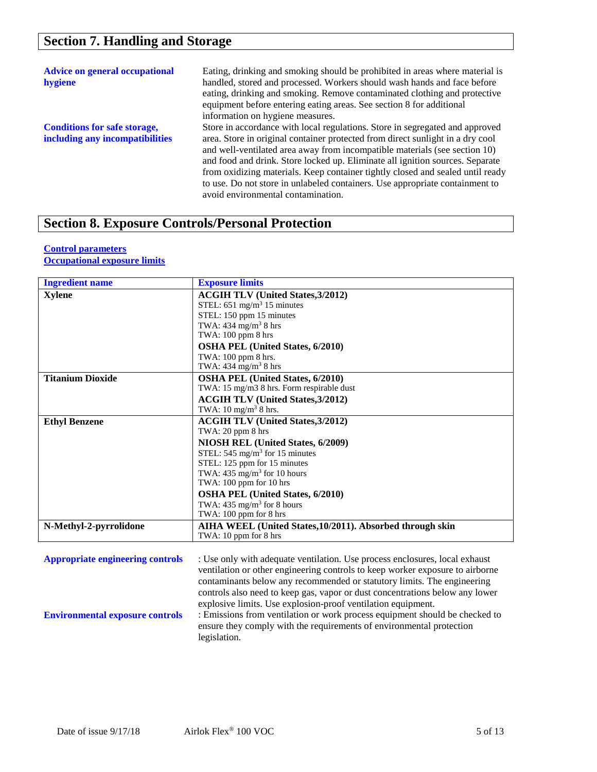| <b>Advice on general occupational</b><br>hygiene                       | Eating, drinking and smoking should be prohibited in areas where material is<br>handled, stored and processed. Workers should wash hands and face before<br>eating, drinking and smoking. Remove contaminated clothing and protective<br>equipment before entering eating areas. See section 8 for additional<br>information on hygiene measures.                                                                                                                                                                                     |
|------------------------------------------------------------------------|---------------------------------------------------------------------------------------------------------------------------------------------------------------------------------------------------------------------------------------------------------------------------------------------------------------------------------------------------------------------------------------------------------------------------------------------------------------------------------------------------------------------------------------|
| <b>Conditions for safe storage,</b><br>including any incompatibilities | Store in accordance with local regulations. Store in segregated and approved<br>area. Store in original container protected from direct sunlight in a dry cool<br>and well-ventilated area away from incompatible materials (see section 10)<br>and food and drink. Store locked up. Eliminate all ignition sources. Separate<br>from oxidizing materials. Keep container tightly closed and sealed until ready<br>to use. Do not store in unlabeled containers. Use appropriate containment to<br>avoid environmental contamination. |

## **Section 8. Exposure Controls/Personal Protection**

#### **Control parameters Occupational exposure limits**

| <b>Ingredient name</b>                  | <b>Exposure limits</b>                                                        |
|-----------------------------------------|-------------------------------------------------------------------------------|
| <b>Xylene</b>                           | <b>ACGIH TLV (United States, 3/2012)</b>                                      |
|                                         | STEL: $651 \text{ mg/m}^3$ 15 minutes                                         |
|                                         | STEL: 150 ppm 15 minutes                                                      |
|                                         | TWA: $434 \text{ mg/m}^3$ 8 hrs                                               |
|                                         | TWA: 100 ppm 8 hrs                                                            |
|                                         | <b>OSHA PEL (United States, 6/2010)</b>                                       |
|                                         | TWA: 100 ppm 8 hrs.                                                           |
|                                         | TWA: $434 \text{ mg/m}^3$ 8 hrs                                               |
| <b>Titanium Dioxide</b>                 | <b>OSHA PEL (United States, 6/2010)</b>                                       |
|                                         | TWA: 15 mg/m3 8 hrs. Form respirable dust                                     |
|                                         | <b>ACGIH TLV (United States, 3/2012)</b>                                      |
|                                         | TWA: $10 \text{ mg/m}^3$ 8 hrs.                                               |
| <b>Ethyl Benzene</b>                    | <b>ACGIH TLV (United States, 3/2012)</b>                                      |
|                                         | TWA: $20$ ppm $8$ hrs                                                         |
|                                         | NIOSH REL (United States, 6/2009)                                             |
|                                         | STEL: $545 \text{ mg/m}^3$ for 15 minutes                                     |
|                                         | STEL: 125 ppm for 15 minutes<br>TWA: $435 \text{ mg/m}^3$ for 10 hours        |
|                                         | TWA: 100 ppm for 10 hrs                                                       |
|                                         | <b>OSHA PEL (United States, 6/2010)</b>                                       |
|                                         | TWA: $435 \text{ mg/m}^3$ for 8 hours                                         |
|                                         | TWA: 100 ppm for 8 hrs                                                        |
| N-Methyl-2-pyrrolidone                  | AIHA WEEL (United States, 10/2011). Absorbed through skin                     |
|                                         | TWA: 10 ppm for 8 hrs                                                         |
|                                         |                                                                               |
| <b>Appropriate engineering controls</b> | : Use only with adequate ventilation. Use process enclosures, local exhaust   |
|                                         | ventilation or other engineering controls to keep worker exposure to airborne |
|                                         | contaminants below any recommended or statutory limits. The engineering       |
|                                         |                                                                               |

controls also need to keep gas, vapor or dust concentrations below any lower explosive limits. Use explosion-proof ventilation equipment. **Environmental exposure controls** : Emissions from ventilation or work process equipment should be checked to ensure they comply with the requirements of environmental protection legislation.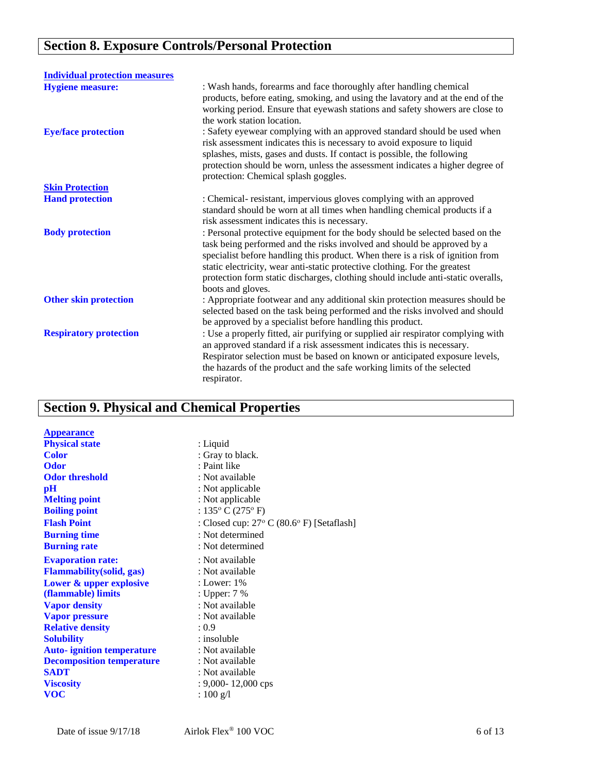# **Section 8. Exposure Controls/Personal Protection**

| <b>Individual protection measures</b> |                                                                                                                                                                                                                                                                                                                                                                                                                                  |
|---------------------------------------|----------------------------------------------------------------------------------------------------------------------------------------------------------------------------------------------------------------------------------------------------------------------------------------------------------------------------------------------------------------------------------------------------------------------------------|
| <b>Hygiene measure:</b>               | : Wash hands, forearms and face thoroughly after handling chemical<br>products, before eating, smoking, and using the lavatory and at the end of the<br>working period. Ensure that eyewash stations and safety showers are close to<br>the work station location.                                                                                                                                                               |
| <b>Eye/face protection</b>            | : Safety eyewear complying with an approved standard should be used when<br>risk assessment indicates this is necessary to avoid exposure to liquid<br>splashes, mists, gases and dusts. If contact is possible, the following<br>protection should be worn, unless the assessment indicates a higher degree of<br>protection: Chemical splash goggles.                                                                          |
| <b>Skin Protection</b>                |                                                                                                                                                                                                                                                                                                                                                                                                                                  |
| <b>Hand protection</b>                | : Chemical-resistant, impervious gloves complying with an approved<br>standard should be worn at all times when handling chemical products if a<br>risk assessment indicates this is necessary.                                                                                                                                                                                                                                  |
| <b>Body protection</b>                | : Personal protective equipment for the body should be selected based on the<br>task being performed and the risks involved and should be approved by a<br>specialist before handling this product. When there is a risk of ignition from<br>static electricity, wear anti-static protective clothing. For the greatest<br>protection form static discharges, clothing should include anti-static overalls,<br>boots and gloves. |
| <b>Other skin protection</b>          | : Appropriate footwear and any additional skin protection measures should be<br>selected based on the task being performed and the risks involved and should<br>be approved by a specialist before handling this product.                                                                                                                                                                                                        |
| <b>Respiratory protection</b>         | : Use a properly fitted, air purifying or supplied air respirator complying with<br>an approved standard if a risk assessment indicates this is necessary.<br>Respirator selection must be based on known or anticipated exposure levels,<br>the hazards of the product and the safe working limits of the selected<br>respirator.                                                                                               |

# **Section 9. Physical and Chemical Properties**

| <b>Appearance</b>                 |                                                              |
|-----------------------------------|--------------------------------------------------------------|
| <b>Physical state</b>             | : Liquid                                                     |
| <b>Color</b>                      | : Gray to black.                                             |
| <b>Odor</b>                       | : Paint like                                                 |
| <b>Odor threshold</b>             | : Not available                                              |
| $\mathbf{p}$ H                    | : Not applicable                                             |
| <b>Melting point</b>              | : Not applicable                                             |
| <b>Boiling point</b>              | : $135^{\circ}$ C (275 $^{\circ}$ F)                         |
| <b>Flash Point</b>                | : Closed cup: $27^{\circ}$ C (80.6 $^{\circ}$ F) [Setaflash] |
| <b>Burning time</b>               | : Not determined                                             |
| <b>Burning rate</b>               | : Not determined                                             |
| <b>Evaporation rate:</b>          | : Not available                                              |
| <b>Flammability</b> (solid, gas)  | : Not available                                              |
| Lower & upper explosive           | : Lower: $1\%$                                               |
| (flammable) limits                | : Upper: 7 %                                                 |
| <b>Vapor density</b>              | : Not available                                              |
| <b>Vapor pressure</b>             | : Not available                                              |
| <b>Relative density</b>           | : 0.9                                                        |
| <b>Solubility</b>                 | : insoluble                                                  |
| <b>Auto-</b> ignition temperature | : Not available                                              |
| <b>Decomposition temperature</b>  | : Not available                                              |
| <b>SADT</b>                       | : Not available                                              |
| <b>Viscosity</b>                  | $: 9,000 - 12,000$ cps                                       |
| <b>VOC</b>                        | : $100 \text{ g/l}$                                          |
|                                   |                                                              |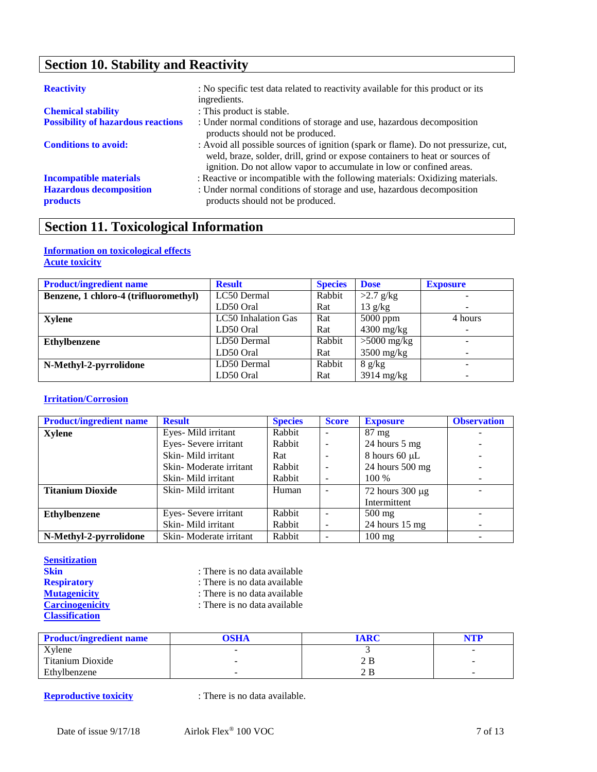# **Section 10. Stability and Reactivity**

| <b>Reactivity</b>                                 | : No specific test data related to reactivity available for this product or its<br>ingredients.                                                                                                                                            |
|---------------------------------------------------|--------------------------------------------------------------------------------------------------------------------------------------------------------------------------------------------------------------------------------------------|
| <b>Chemical stability</b>                         | : This product is stable.                                                                                                                                                                                                                  |
| <b>Possibility of hazardous reactions</b>         | : Under normal conditions of storage and use, hazardous decomposition<br>products should not be produced.                                                                                                                                  |
| <b>Conditions to avoid:</b>                       | : Avoid all possible sources of ignition (spark or flame). Do not pressurize, cut,<br>weld, braze, solder, drill, grind or expose containers to heat or sources of<br>ignition. Do not allow vapor to accumulate in low or confined areas. |
| <b>Incompatible materials</b>                     | : Reactive or incompatible with the following materials: Oxidizing materials.                                                                                                                                                              |
| <b>Hazardous decomposition</b><br><b>products</b> | : Under normal conditions of storage and use, hazardous decomposition<br>products should not be produced.                                                                                                                                  |

# **Section 11. Toxicological Information**

#### **Information on toxicological effects Acute toxicity**

| <b>Product/ingredient name</b>        | <b>Result</b>       | <b>Species</b> | <b>Dose</b>       | <b>Exposure</b> |
|---------------------------------------|---------------------|----------------|-------------------|-----------------|
| Benzene, 1 chloro-4 (trifluoromethyl) | LC50 Dermal         | Rabbit         | $>2.7$ g/kg       |                 |
|                                       | LD50 Oral           | Rat            | $13 \text{ g/kg}$ | ۰               |
| Xylene                                | LC50 Inhalation Gas | Rat            | $5000$ ppm        | 4 hours         |
|                                       | LD50 Oral           | Rat            | $4300$ mg/kg      | -               |
| Ethylbenzene                          | LD50 Dermal         | Rabbit         | $>5000$ mg/kg     |                 |
|                                       | LD50 Oral           | Rat            | $3500$ mg/kg      |                 |
| N-Methyl-2-pyrrolidone                | LD50 Dermal         | Rabbit         | 8 g/kg            |                 |
|                                       | LD50 Oral           | Rat            | $3914$ mg/kg      |                 |

### **Irritation/Corrosion**

| <b>Product/ingredient name</b> | <b>Result</b>          | <b>Species</b> | <b>Score</b>             | <b>Exposure</b>          | <b>Observation</b> |
|--------------------------------|------------------------|----------------|--------------------------|--------------------------|--------------------|
| <b>Xylene</b>                  | Eyes-Mild irritant     | Rabbit         | ۰                        | $87 \text{ mg}$          | -                  |
|                                | Eyes-Severe irritant   | Rabbit         |                          | 24 hours 5 mg            |                    |
|                                | Skin-Mild irritant     | Rat            |                          | 8 hours 60 $\mu$ L       |                    |
|                                | Skin-Moderate irritant | Rabbit         | $\overline{\phantom{a}}$ | 24 hours 500 mg          |                    |
|                                | Skin-Mild irritant     | Rabbit         |                          | 100 %                    |                    |
| <b>Titanium Dioxide</b>        | Skin-Mild irritant     | Human          |                          | 72 hours $300 \mu g$     | -                  |
|                                |                        |                |                          | Intermittent             |                    |
| <b>Ethylbenzene</b>            | Eyes-Severe irritant   | Rabbit         |                          | $500$ mg                 |                    |
|                                | Skin-Mild irritant     | Rabbit         | $\overline{\phantom{0}}$ | 24 hours $15 \text{ mg}$ |                    |
| N-Methyl-2-pyrrolidone         | Skin-Moderate irritant | Rabbit         |                          | $100$ mg                 |                    |

#### **Sensitization**

| <b>Skin</b>            | : There is no data available |
|------------------------|------------------------------|
| <b>Respiratory</b>     | : There is no data available |
| <b>Mutagenicity</b>    | : There is no data available |
| <b>Carcinogenicity</b> | : There is no data available |
| <b>Classification</b>  |                              |

| <b>Product/ingredient name</b> | <b>OSHA</b> | <b>IARC</b> | NTP |
|--------------------------------|-------------|-------------|-----|
| Xvlene                         |             |             | -   |
| Titanium Dioxide               |             | 2 B         | -   |
| Ethylbenzene                   | -           | 2 B         | -   |

**Reproductive toxicity** : There is no data available.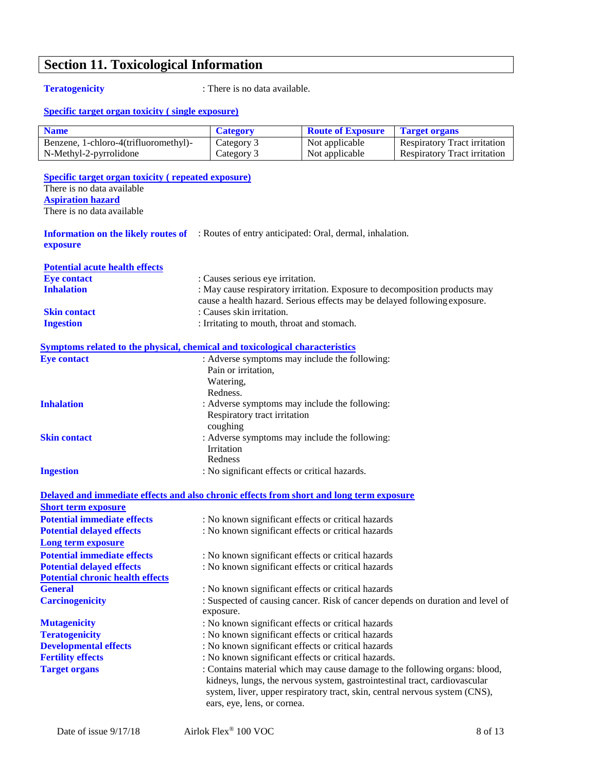# **Section 11. Toxicological Information**

**Teratogenicity** : There is no data available.

#### **Specific target organ toxicity ( single exposure)**

| <b>Name</b>                           | <b>Category</b> | <b>Route of Exposure</b> | <b>Target organs</b>                |
|---------------------------------------|-----------------|--------------------------|-------------------------------------|
| Benzene, 1-chloro-4(trifluoromethyl)- | Category 3      | Not applicable           | <b>Respiratory Tract irritation</b> |
| N-Methyl-2-pyrrolidone                | Category 3      | Not applicable           | Respiratory Tract irritation        |

**Specific target organ toxicity ( repeated exposure)** There is no data available **Aspiration hazard** There is no data available

**Information on the likely routes of**  : Routes of entry anticipated: Oral, dermal, inhalation. **exposure**

| <b>Potential acute health effects</b> |                                                                                                                                                         |
|---------------------------------------|---------------------------------------------------------------------------------------------------------------------------------------------------------|
| <b>Eye contact</b>                    | : Causes serious eye irritation.                                                                                                                        |
| <b>Inhalation</b>                     | : May cause respiratory irritation. Exposure to decomposition products may<br>cause a health hazard. Serious effects may be delayed following exposure. |
| <b>Skin contact</b>                   | : Causes skin irritation.                                                                                                                               |
| <b>Ingestion</b>                      | : Irritating to mouth, throat and stomach.                                                                                                              |

#### **Symptoms related to the physical, chemical and toxicological characteristics**

| <b>Eve contact</b>  | : Adverse symptoms may include the following: |
|---------------------|-----------------------------------------------|
|                     | Pain or irritation,                           |
|                     | Watering.                                     |
|                     | Redness.                                      |
| <b>Inhalation</b>   | : Adverse symptoms may include the following: |
|                     | Respiratory tract irritation                  |
|                     | coughing                                      |
| <b>Skin contact</b> | : Adverse symptoms may include the following: |
|                     | <b>Irritation</b>                             |
|                     | Redness                                       |
| <b>Ingestion</b>    | : No significant effects or critical hazards. |
|                     |                                               |

|                                         | Delayed and immediate effects and also chronic effects from short and long term exposure                                                                                                                                                                               |
|-----------------------------------------|------------------------------------------------------------------------------------------------------------------------------------------------------------------------------------------------------------------------------------------------------------------------|
| <b>Short term exposure</b>              |                                                                                                                                                                                                                                                                        |
| <b>Potential immediate effects</b>      | : No known significant effects or critical hazards                                                                                                                                                                                                                     |
| <b>Potential delayed effects</b>        | : No known significant effects or critical hazards                                                                                                                                                                                                                     |
| Long term exposure                      |                                                                                                                                                                                                                                                                        |
| <b>Potential immediate effects</b>      | : No known significant effects or critical hazards                                                                                                                                                                                                                     |
| <b>Potential delayed effects</b>        | : No known significant effects or critical hazards                                                                                                                                                                                                                     |
| <b>Potential chronic health effects</b> |                                                                                                                                                                                                                                                                        |
| <b>General</b>                          | : No known significant effects or critical hazards                                                                                                                                                                                                                     |
| <b>Carcinogenicity</b>                  | : Suspected of causing cancer. Risk of cancer depends on duration and level of<br>exposure.                                                                                                                                                                            |
| <b>Mutagenicity</b>                     | : No known significant effects or critical hazards                                                                                                                                                                                                                     |
| <b>Teratogenicity</b>                   | : No known significant effects or critical hazards                                                                                                                                                                                                                     |
| <b>Developmental effects</b>            | : No known significant effects or critical hazards                                                                                                                                                                                                                     |
| <b>Fertility effects</b>                | : No known significant effects or critical hazards.                                                                                                                                                                                                                    |
| <b>Target organs</b>                    | : Contains material which may cause damage to the following organs: blood,<br>kidneys, lungs, the nervous system, gastrointestinal tract, cardiovascular<br>system, liver, upper respiratory tract, skin, central nervous system (CNS),<br>ears, eye, lens, or cornea. |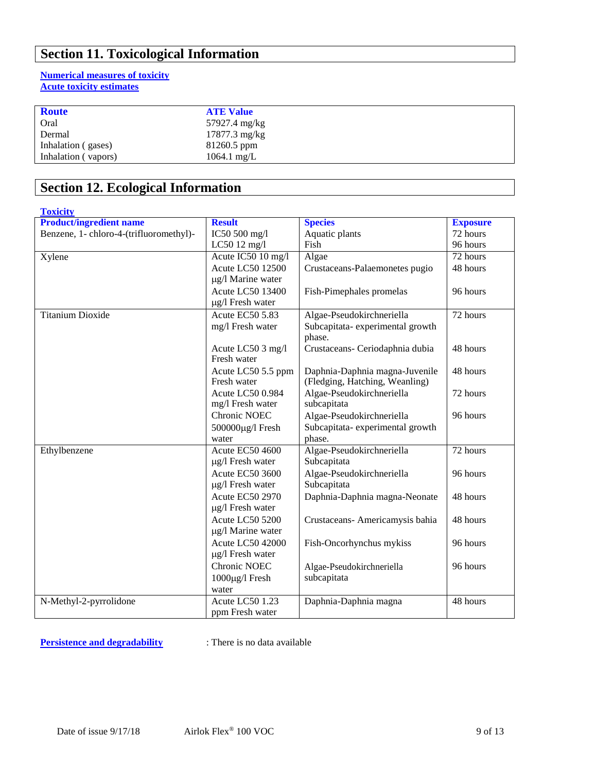# **Section 11. Toxicological Information**

### **Numerical measures of toxicity Acute toxicity estimates**

| <b>Route</b>        | <b>ATE Value</b>      |
|---------------------|-----------------------|
| Oral                | 57927.4 mg/kg         |
| Dermal              | $17877.3$ mg/kg       |
| Inhalation (gases)  | 81260.5 ppm           |
| Inhalation (vapors) | $1064.1 \text{ mg/L}$ |

# **Section 12. Ecological Information**

| <b>Toxicity</b>                         |                         |                                 |                 |
|-----------------------------------------|-------------------------|---------------------------------|-----------------|
| <b>Product/ingredient name</b>          | <b>Result</b>           | <b>Species</b>                  | <b>Exposure</b> |
| Benzene, 1- chloro-4-(trifluoromethyl)- | IC50 500 mg/l           | Aquatic plants                  | 72 hours        |
|                                         | LC50 12 mg/l            | Fish                            | 96 hours        |
| Xylene                                  | Acute IC50 10 mg/l      | Algae                           | 72 hours        |
|                                         | <b>Acute LC50 12500</b> | Crustaceans-Palaemonetes pugio  | 48 hours        |
|                                         | µg/l Marine water       |                                 |                 |
|                                         | <b>Acute LC50 13400</b> | Fish-Pimephales promelas        | 96 hours        |
|                                         | $\mu$ g/l Fresh water   |                                 |                 |
| <b>Titanium Dioxide</b>                 | Acute EC50 5.83         | Algae-Pseudokirchneriella       | 72 hours        |
|                                         | mg/l Fresh water        | Subcapitata-experimental growth |                 |
|                                         |                         | phase.                          |                 |
|                                         | Acute LC50 3 mg/l       | Crustaceans- Ceriodaphnia dubia | 48 hours        |
|                                         | Fresh water             |                                 |                 |
|                                         | Acute LC50 5.5 ppm      | Daphnia-Daphnia magna-Juvenile  | 48 hours        |
|                                         | Fresh water             | (Fledging, Hatching, Weanling)  |                 |
|                                         | Acute LC50 0.984        | Algae-Pseudokirchneriella       | 72 hours        |
|                                         | mg/l Fresh water        | subcapitata                     |                 |
|                                         | <b>Chronic NOEC</b>     | Algae-Pseudokirchneriella       | 96 hours        |
|                                         | 500000μg/l Fresh        | Subcapitata-experimental growth |                 |
|                                         | water                   | phase.                          |                 |
| Ethylbenzene                            | <b>Acute EC50 4600</b>  | Algae-Pseudokirchneriella       | 72 hours        |
|                                         | $\mu$ g/l Fresh water   | Subcapitata                     |                 |
|                                         | <b>Acute EC50 3600</b>  | Algae-Pseudokirchneriella       | 96 hours        |
|                                         | $\mu$ g/l Fresh water   | Subcapitata                     |                 |
|                                         | <b>Acute EC50 2970</b>  | Daphnia-Daphnia magna-Neonate   | 48 hours        |
|                                         | µg/l Fresh water        |                                 |                 |
|                                         | Acute LC50 5200         | Crustaceans- Americamysis bahia | 48 hours        |
|                                         | µg/l Marine water       |                                 |                 |
|                                         | <b>Acute LC50 42000</b> | Fish-Oncorhynchus mykiss        | 96 hours        |
|                                         | µg/l Fresh water        |                                 |                 |
|                                         | Chronic NOEC            | Algae-Pseudokirchneriella       | 96 hours        |
|                                         | 1000µg/l Fresh          | subcapitata                     |                 |
|                                         | water                   |                                 |                 |
| N-Methyl-2-pyrrolidone                  | Acute LC50 1.23         | Daphnia-Daphnia magna           | 48 hours        |
|                                         | ppm Fresh water         |                                 |                 |

**Persistence and degradability** : There is no data available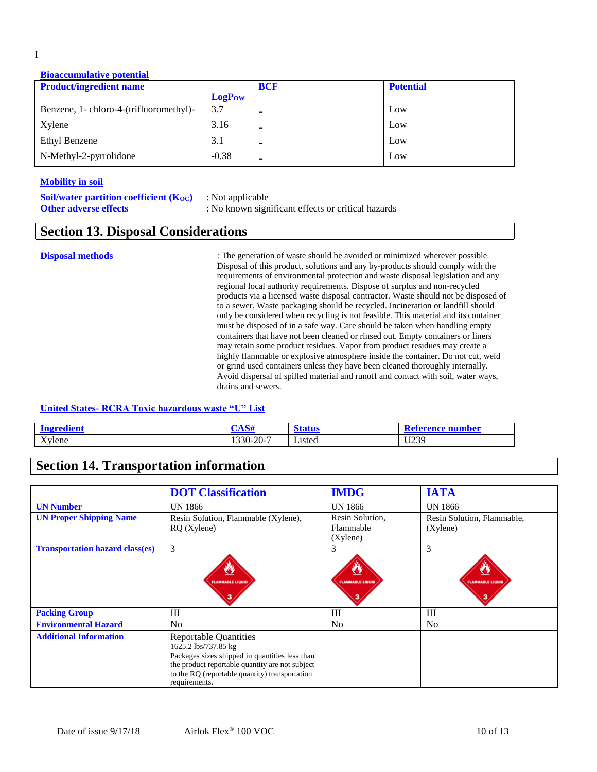#### **Bioaccumulative potential**

| <b>Product/ingredient name</b>          |               | <b>BCF</b>     | <b>Potential</b> |
|-----------------------------------------|---------------|----------------|------------------|
|                                         | <b>LogPow</b> |                |                  |
| Benzene, 1- chloro-4-(trifluoromethyl)- | 3.7           |                | Low              |
| Xylene                                  | 3.16          |                | Low              |
| Ethyl Benzene                           | 3.1           | $\blacksquare$ | Low              |
| N-Methyl-2-pyrrolidone                  | $-0.38$       | -              | Low              |

#### **Mobility in soil**

| <b>Soil/water partition coefficient (Koc)</b> | : Not applicable                                   |
|-----------------------------------------------|----------------------------------------------------|
| <b>Other adverse effects</b>                  | : No known significant effects or critical hazards |

## **Section 13. Disposal Considerations**

**Disposal methods** : The generation of waste should be avoided or minimized wherever possible. Disposal of this product, solutions and any by-products should comply with the requirements of environmental protection and waste disposal legislation and any regional local authority requirements. Dispose of surplus and non-recycled products via a licensed waste disposal contractor. Waste should not be disposed of to a sewer. Waste packaging should be recycled. Incineration or landfill should only be considered when recycling is not feasible. This material and its container must be disposed of in a safe way. Care should be taken when handling empty containers that have not been cleaned or rinsed out. Empty containers or liners may retain some product residues. Vapor from product residues may create a highly flammable or explosive atmosphere inside the container. Do not cut, weld or grind used containers unless they have been cleaned thoroughly internally. Avoid dispersal of spilled material and runoff and contact with soil, water ways, drains and sewers.

#### **United States- RCRA Toxic hazardous waste "U" List**

| i on 1 | $\sqrt{4}$<br>21 N.JH | atur           | erence number |
|--------|-----------------------|----------------|---------------|
| Xylene | $.330 - 20 - 7$       | $ -$<br>Listed | 11230         |

## **Section 14. Transportation information**

|                                        | <b>DOT Classification</b>                                                                                                                                                                                                    | <b>IMDG</b>                                    | <b>IATA</b>                            |
|----------------------------------------|------------------------------------------------------------------------------------------------------------------------------------------------------------------------------------------------------------------------------|------------------------------------------------|----------------------------------------|
| <b>UN Number</b>                       | UN 1866                                                                                                                                                                                                                      | UN 1866                                        | UN 1866                                |
| <b>UN Proper Shipping Name</b>         | Resin Solution, Flammable (Xylene),<br>$RQ$ (Xylene)                                                                                                                                                                         | Resin Solution,<br>Flammable<br>$(X$ ylene $)$ | Resin Solution, Flammable,<br>(Xylene) |
| <b>Transportation hazard class(es)</b> | 3<br>O<br><b>FLAMMABLE LIQUID</b>                                                                                                                                                                                            | 3<br>٧Y<br><b>FLAMMABLE LIQUID</b>             | 3<br><b>FLAMMABLE LIQUID</b>           |
| <b>Packing Group</b>                   | III                                                                                                                                                                                                                          | Ш                                              | $\mathop{\rm III}$                     |
| <b>Environmental Hazard</b>            | No                                                                                                                                                                                                                           | N <sub>o</sub>                                 | N <sub>0</sub>                         |
| <b>Additional Information</b>          | <b>Reportable Quantities</b><br>1625.2 lbs/737.85 kg<br>Packages sizes shipped in quantities less than<br>the product reportable quantity are not subject<br>to the RQ (reportable quantity) transportation<br>requirements. |                                                |                                        |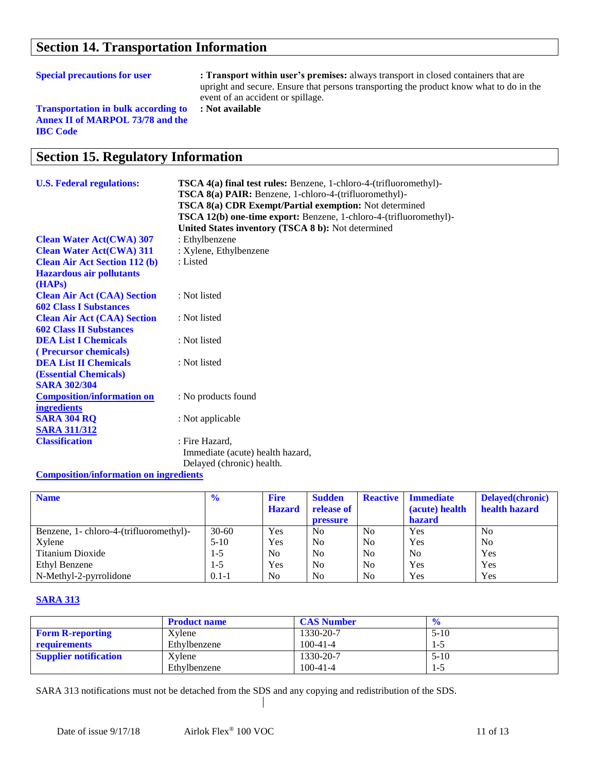# **Section 14. Transportation Information**

**Special precautions for user : Transport within user's premises:** always transport in closed containers that are upright and secure. Ensure that persons transporting the product know what to do in the event of an accident or spillage. **: Not available**

**Transportation in bulk according to Annex II of MARPOL 73/78 and the IBC Code**

## **Section 15. Regulatory Information**

| <b>U.S. Federal regulations:</b>     | <b>TSCA 4(a) final test rules:</b> Benzene, 1-chloro-4-(trifluoromethyl)-<br><b>TSCA 8(a) PAIR:</b> Benzene, 1-chloro-4-(trifluoromethyl)-<br><b>TSCA 8(a) CDR Exempt/Partial exemption:</b> Not determined |
|--------------------------------------|-------------------------------------------------------------------------------------------------------------------------------------------------------------------------------------------------------------|
|                                      | TSCA 12(b) one-time export: Benzene, 1-chloro-4-(trifluoromethyl)-<br>United States inventory (TSCA 8 b): Not determined                                                                                    |
| <b>Clean Water Act(CWA) 307</b>      | : Ethylbenzene                                                                                                                                                                                              |
| <b>Clean Water Act(CWA) 311</b>      | : Xylene, Ethylbenzene                                                                                                                                                                                      |
| <b>Clean Air Act Section 112 (b)</b> | : Listed                                                                                                                                                                                                    |
| <b>Hazardous air pollutants</b>      |                                                                                                                                                                                                             |
| (HAPs)                               |                                                                                                                                                                                                             |
| <b>Clean Air Act (CAA) Section</b>   | : Not listed                                                                                                                                                                                                |
| <b>602 Class I Substances</b>        |                                                                                                                                                                                                             |
| <b>Clean Air Act (CAA) Section</b>   | : Not listed                                                                                                                                                                                                |
| <b>602 Class II Substances</b>       |                                                                                                                                                                                                             |
| <b>DEA List I Chemicals</b>          | : Not listed                                                                                                                                                                                                |
| (Precursor chemicals)                |                                                                                                                                                                                                             |
| <b>DEA List II Chemicals</b>         | : Not listed                                                                                                                                                                                                |
| <b>(Essential Chemicals)</b>         |                                                                                                                                                                                                             |
| <b>SARA 302/304</b>                  |                                                                                                                                                                                                             |
| <b>Composition/information on</b>    | : No products found                                                                                                                                                                                         |
| <b>ingredients</b>                   |                                                                                                                                                                                                             |
| <b>SARA 304 RQ</b>                   | : Not applicable                                                                                                                                                                                            |
| <b>SARA 311/312</b>                  |                                                                                                                                                                                                             |
| <b>Classification</b>                | : Fire Hazard,                                                                                                                                                                                              |
|                                      | Immediate (acute) health hazard,                                                                                                                                                                            |
|                                      | Delayed (chronic) health.                                                                                                                                                                                   |

#### **Composition/information on ingredients**

| <b>Name</b>                             | $\frac{6}{6}$ | <b>Fire</b>    | <b>Sudden</b>   | <b>Reactive</b> | <b>Immediate</b> | Delayed(chronic) |
|-----------------------------------------|---------------|----------------|-----------------|-----------------|------------------|------------------|
|                                         |               | <b>Hazard</b>  | release of      |                 | (acute) health   | health hazard    |
|                                         |               |                | <b>pressure</b> |                 | <b>hazard</b>    |                  |
| Benzene, 1- chloro-4-(trifluoromethyl)- | $30 - 60$     | Yes            | N <sub>0</sub>  | N <sub>0</sub>  | Yes              | N <sub>0</sub>   |
| Xylene                                  | $5-10$        | Yes            | N <sub>0</sub>  | N <sub>0</sub>  | Yes              | N <sub>o</sub>   |
| Titanium Dioxide                        | $1 - 5$       | N <sub>0</sub> | N <sub>0</sub>  | N <sub>0</sub>  | N <sub>0</sub>   | Yes              |
| Ethyl Benzene                           | $1 - 5$       | Yes            | N <sub>0</sub>  | N <sub>0</sub>  | Yes              | Yes              |
| N-Methyl-2-pyrrolidone                  | $0.1 - 1$     | N <sub>0</sub> | N <sub>0</sub>  | N <sub>0</sub>  | Yes              | Yes              |

### **SARA 313**

|                              | <b>Product name</b> | <b>CAS Number</b> |          |
|------------------------------|---------------------|-------------------|----------|
| <b>Form R-reporting</b>      | Xylene              | 1330-20-7         | $5 - 10$ |
| requirements                 | Ethylbenzene        | $100 - 41 - 4$    | 1-5      |
| <b>Supplier notification</b> | Xylene              | 1330-20-7         | $5-10$   |
|                              | Ethylbenzene        | $100 - 41 - 4$    | $\sim$   |

SARA 313 notifications must not be detached from the SDS and any copying and redistribution of the SDS.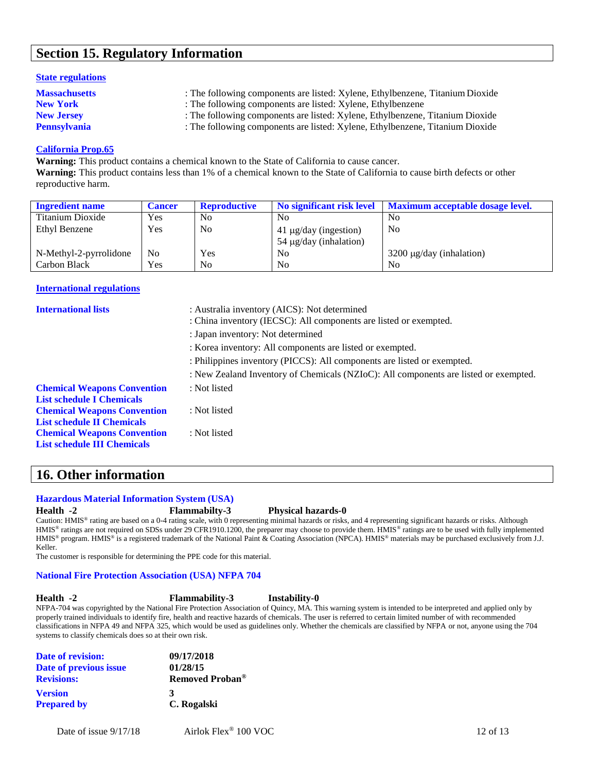## **Section 15. Regulatory Information**

#### **State regulations**

| <b>Massachusetts</b> | : The following components are listed: Xylene, Ethylbenzene, Titanium Dioxide |
|----------------------|-------------------------------------------------------------------------------|
| <b>New York</b>      | : The following components are listed: Xylene, Ethylbenzene                   |
| <b>New Jersey</b>    | : The following components are listed: Xylene, Ethylbenzene, Titanium Dioxide |
| <b>Pennsylvania</b>  | : The following components are listed: Xylene, Ethylbenzene, Titanium Dioxide |

### **California Prop.65**

**Warning:** This product contains a chemical known to the State of California to cause cancer.

**Warning:** This product contains less than 1% of a chemical known to the State of California to cause birth defects or other reproductive harm.

| <b>Ingredient name</b> | <b>Cancer</b> | <b>Reproductive</b> | No significant risk level                                 | <b>Maximum acceptable dosage level.</b> |
|------------------------|---------------|---------------------|-----------------------------------------------------------|-----------------------------------------|
| Titanium Dioxide       | Yes           | N <sub>0</sub>      | N <sub>0</sub>                                            | N <sub>0</sub>                          |
| Ethyl Benzene          | Yes           | N <sub>o</sub>      | $41 \mu g/day$ (ingestion)<br>$54 \mu g/day$ (inhalation) | N <sub>o</sub>                          |
| N-Methyl-2-pyrrolidone | No            | <b>Yes</b>          | N <sub>0</sub>                                            | $3200 \mu g/day$ (inhalation)           |
| Carbon Black           | <b>Yes</b>    | N <sub>0</sub>      | N <sub>0</sub>                                            | N <sub>0</sub>                          |

#### **International regulations**

| <b>International lists</b>                                               | : Australia inventory (AICS): Not determined<br>: China inventory (IECSC): All components are listed or exempted. |
|--------------------------------------------------------------------------|-------------------------------------------------------------------------------------------------------------------|
|                                                                          | : Japan inventory: Not determined                                                                                 |
|                                                                          | : Korea inventory: All components are listed or exempted.                                                         |
|                                                                          | : Philippines inventory (PICCS): All components are listed or exempted.                                           |
|                                                                          | : New Zealand Inventory of Chemicals (NZIoC): All components are listed or exempted.                              |
| <b>Chemical Weapons Convention</b>                                       | : Not listed                                                                                                      |
| <b>List schedule I Chemicals</b>                                         |                                                                                                                   |
| <b>Chemical Weapons Convention</b>                                       | : Not listed                                                                                                      |
| <b>List schedule II Chemicals</b>                                        |                                                                                                                   |
| <b>Chemical Weapons Convention</b><br><b>List schedule III Chemicals</b> | : Not listed                                                                                                      |

# **16. Other information**

#### **Hazardous Material Information System (USA)**

#### **Health -2 Flammabilty-3 Physical hazards-0**

Caution: HMIS<sup>®</sup> rating are based on a 0-4 rating scale, with 0 representing minimal hazards or risks, and 4 representing significant hazards or risks. Although HMIS<sup>®</sup> ratings are not required on SDSs under 29 CFR1910.1200, the preparer may choose to provide them. HMIS® ratings are to be used with fully implemented HMIS® program. HMIS® is a registered trademark of the National Paint & Coating Association (NPCA). HMIS® materials may be purchased exclusively from J.J. Keller.

The customer is responsible for determining the PPE code for this material.

#### **National Fire Protection Association (USA) NFPA 704**

**Health -2 Flammability-3 Instability-0**

NFPA-704 was copyrighted by the National Fire Protection Association of Quincy, MA. This warning system is intended to be interpreted and applied only by properly trained individuals to identify fire, health and reactive hazards of chemicals. The user is referred to certain limited number of with recommended classifications in NFPA 49 and NFPA 325, which would be used as guidelines only. Whether the chemicals are classified by NFPA or not, anyone using the 704 systems to classify chemicals does so at their own risk.

| <b>Date of revision:</b> | 09/17/2018                  |
|--------------------------|-----------------------------|
| Date of previous issue   | 01/28/15                    |
| <b>Revisions:</b>        | Removed Proban <sup>®</sup> |
| <b>Version</b>           | 3                           |
| <b>Prepared by</b>       | C. Rogalski                 |
|                          |                             |

Date of issue  $9/17/18$  Airlok Flex<sup>®</sup> 100 VOC 12 of 13